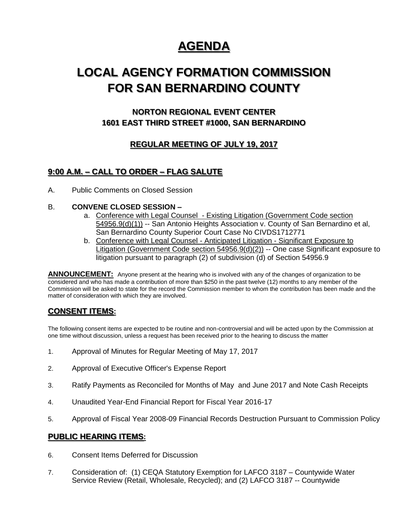# **AGENDA**

# **LOCAL AGENCY FORMATION COMMISSION FOR SAN BERNARDINO COUNTY**

# **NORTON REGIONAL EVENT CENTER 1601 EAST THIRD STREET #1000, SAN BERNARDINO**

# **REGULAR MEETING OF JULY 19, 2017**

## **9:00 A.M. – CALL TO ORDER – FLAG SALUTE**

A. Public Comments on Closed Session

### B. **CONVENE CLOSED SESSION –**

- a. Conference with Legal Counsel Existing Litigation (Government Code section 54956.9(d)(1)) -- San Antonio Heights Association v. County of San Bernardino et al, San Bernardino County Superior Court Case No CIVDS1712771
- b. Conference with Legal Counsel Anticipated Litigation Significant Exposure to Litigation (Government Code section 54956.9(d)(2)) -- One case Significant exposure to litigation pursuant to paragraph (2) of subdivision (d) of Section 54956.9

**ANNOUNCEMENT:** Anyone present at the hearing who is involved with any of the changes of organization to be considered and who has made a contribution of more than \$250 in the past twelve (12) months to any member of the Commission will be asked to state for the record the Commission member to whom the contribution has been made and the matter of consideration with which they are involved.

## **CONSENT ITEMS:**

The following consent items are expected to be routine and non-controversial and will be acted upon by the Commission at one time without discussion, unless a request has been received prior to the hearing to discuss the matter

- 1. Approval of Minutes for Regular Meeting of May 17, 2017
- 2. Approval of Executive Officer's Expense Report
- 3. Ratify Payments as Reconciled for Months of May and June 2017 and Note Cash Receipts
- 4. Unaudited Year-End Financial Report for Fiscal Year 2016-17
- 5. Approval of Fiscal Year 2008-09 Financial Records Destruction Pursuant to Commission Policy

### **PUBLIC HEARING ITEMS:**

- 6. Consent Items Deferred for Discussion
- 7. Consideration of: (1) CEQA Statutory Exemption for LAFCO 3187 Countywide Water Service Review (Retail, Wholesale, Recycled); and (2) LAFCO 3187 -- Countywide